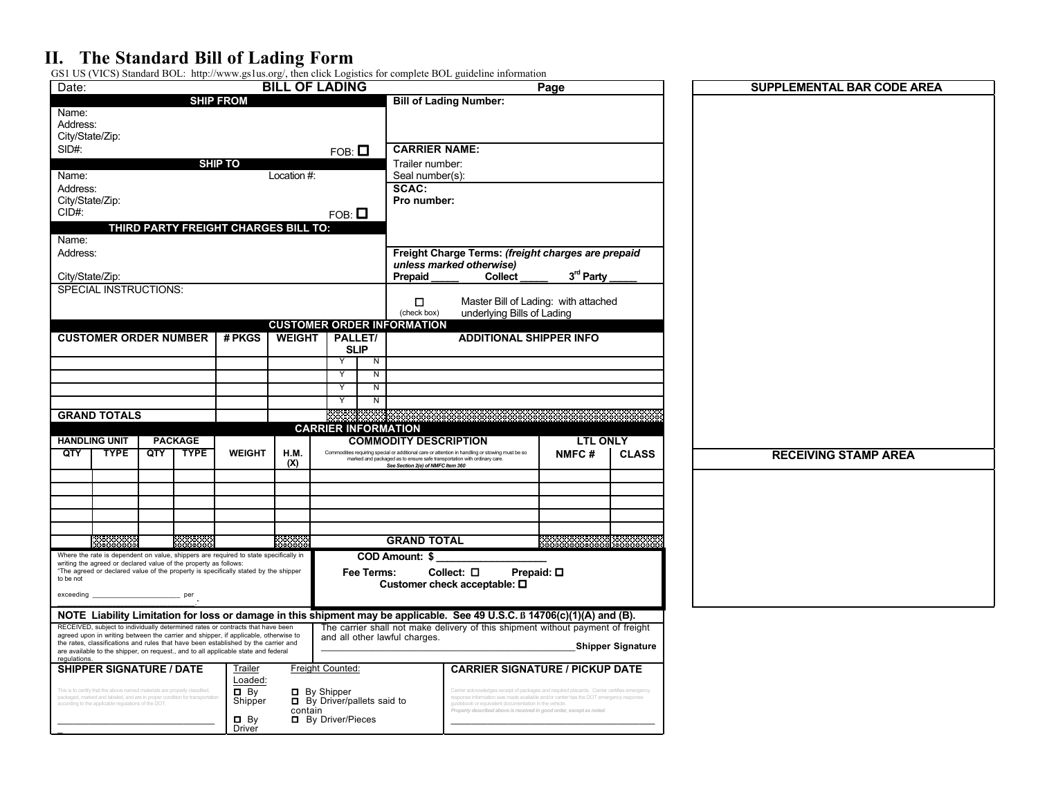## **II. The Standard Bill of Lading Form**

GS1 US (VICS) Standard BOL: http://www.gs1us.org/, then click Logistics for complete BOL guideline information

| Date:                                                                                                                                                                                                                                                           |     |                |                                      | <b>BILL OF LADING</b> |                           |                                                                          |                                                                                                                                                                                                             | Page                        |                          | <b>SUPPLEMENTAL BAR CODE AREA</b> |  |
|-----------------------------------------------------------------------------------------------------------------------------------------------------------------------------------------------------------------------------------------------------------------|-----|----------------|--------------------------------------|-----------------------|---------------------------|--------------------------------------------------------------------------|-------------------------------------------------------------------------------------------------------------------------------------------------------------------------------------------------------------|-----------------------------|--------------------------|-----------------------------------|--|
|                                                                                                                                                                                                                                                                 |     |                | <b>SHIP FROM</b>                     |                       |                           |                                                                          | <b>Bill of Lading Number:</b>                                                                                                                                                                               |                             |                          |                                   |  |
| Name:<br>Address:<br>City/State/Zip:                                                                                                                                                                                                                            |     |                |                                      |                       |                           |                                                                          |                                                                                                                                                                                                             |                             |                          |                                   |  |
| SID#:                                                                                                                                                                                                                                                           |     |                |                                      |                       | $FOB: \blacksquare$       | <b>CARRIER NAME:</b>                                                     |                                                                                                                                                                                                             |                             |                          |                                   |  |
| <b>SHIP TO</b>                                                                                                                                                                                                                                                  |     |                |                                      |                       |                           |                                                                          | Trailer number:                                                                                                                                                                                             |                             |                          |                                   |  |
| Name:<br>Location #:                                                                                                                                                                                                                                            |     |                |                                      |                       |                           |                                                                          | Seal number(s):                                                                                                                                                                                             |                             |                          |                                   |  |
| Address:                                                                                                                                                                                                                                                        |     |                |                                      |                       |                           | SCAC:                                                                    |                                                                                                                                                                                                             |                             |                          |                                   |  |
| City/State/Zip:                                                                                                                                                                                                                                                 |     |                |                                      |                       |                           |                                                                          | Pro number:                                                                                                                                                                                                 |                             |                          |                                   |  |
| CID#                                                                                                                                                                                                                                                            |     |                |                                      |                       | $FOB: \blacksquare$       |                                                                          |                                                                                                                                                                                                             |                             |                          |                                   |  |
|                                                                                                                                                                                                                                                                 |     |                | THIRD PARTY FREIGHT CHARGES BILL TO: |                       |                           |                                                                          |                                                                                                                                                                                                             |                             |                          |                                   |  |
| Name:                                                                                                                                                                                                                                                           |     |                |                                      |                       |                           |                                                                          |                                                                                                                                                                                                             |                             |                          |                                   |  |
| Address:                                                                                                                                                                                                                                                        |     |                |                                      |                       |                           |                                                                          | Freight Charge Terms: (freight charges are prepaid<br>unless marked otherwise)                                                                                                                              |                             |                          |                                   |  |
| City/State/Zip:                                                                                                                                                                                                                                                 |     |                |                                      |                       |                           | Prepaid                                                                  | <b>Collect</b>                                                                                                                                                                                              | 3rd Party                   |                          |                                   |  |
| <b>SPECIAL INSTRUCTIONS:</b>                                                                                                                                                                                                                                    |     |                |                                      |                       |                           |                                                                          |                                                                                                                                                                                                             |                             |                          |                                   |  |
|                                                                                                                                                                                                                                                                 |     |                |                                      |                       |                           | $\Box$                                                                   | Master Bill of Lading: with attached                                                                                                                                                                        |                             |                          |                                   |  |
|                                                                                                                                                                                                                                                                 |     |                |                                      |                       |                           | (check box)                                                              | underlying Bills of Lading                                                                                                                                                                                  |                             |                          |                                   |  |
|                                                                                                                                                                                                                                                                 |     |                |                                      |                       |                           | <b>CUSTOMER ORDER INFORMATION</b>                                        |                                                                                                                                                                                                             |                             |                          |                                   |  |
| <b>CUSTOMER ORDER NUMBER</b>                                                                                                                                                                                                                                    |     |                | # PKGS                               | <b>WEIGHT</b>         |                           | PALLET/<br><b>SLIP</b>                                                   | <b>ADDITIONAL SHIPPER INFO</b>                                                                                                                                                                              |                             |                          |                                   |  |
|                                                                                                                                                                                                                                                                 |     |                |                                      |                       | Y                         | N                                                                        |                                                                                                                                                                                                             |                             |                          |                                   |  |
|                                                                                                                                                                                                                                                                 |     |                |                                      |                       | Y                         | N                                                                        |                                                                                                                                                                                                             |                             |                          |                                   |  |
|                                                                                                                                                                                                                                                                 |     |                |                                      |                       | Y                         | Z                                                                        |                                                                                                                                                                                                             |                             |                          |                                   |  |
|                                                                                                                                                                                                                                                                 |     |                |                                      |                       | Υ                         | Z                                                                        |                                                                                                                                                                                                             |                             |                          |                                   |  |
| <b>GRAND TOTALS</b>                                                                                                                                                                                                                                             |     |                |                                      |                       |                           |                                                                          |                                                                                                                                                                                                             |                             |                          |                                   |  |
|                                                                                                                                                                                                                                                                 |     |                |                                      |                       |                           | <b>CARRIER INFORMATION</b>                                               |                                                                                                                                                                                                             |                             |                          |                                   |  |
| <b>HANDLING UNIT</b>                                                                                                                                                                                                                                            |     | <b>PACKAGE</b> |                                      |                       |                           | <b>COMMODITY DESCRIPTION</b>                                             |                                                                                                                                                                                                             | <b>LTL ONLY</b>             |                          |                                   |  |
| QTY<br><b>TYPE</b>                                                                                                                                                                                                                                              | QTY | <b>TYPE</b>    | <b>WEIGHT</b>                        | H.M.<br>(X)           |                           | marked and packaged as to ensure safe transportation with ordinary care. | Commodities requiring special or additional care or attention in handling or stowing must be so                                                                                                             | NMFC#                       | <b>CLASS</b>             | <b>RECEIVING STAMP AREA</b>       |  |
|                                                                                                                                                                                                                                                                 |     |                |                                      |                       |                           | See Section 2(e) of NMFC Item 360                                        |                                                                                                                                                                                                             |                             |                          |                                   |  |
|                                                                                                                                                                                                                                                                 |     |                |                                      |                       |                           |                                                                          |                                                                                                                                                                                                             |                             |                          |                                   |  |
|                                                                                                                                                                                                                                                                 |     |                |                                      |                       |                           |                                                                          |                                                                                                                                                                                                             |                             |                          |                                   |  |
|                                                                                                                                                                                                                                                                 |     |                |                                      |                       |                           |                                                                          |                                                                                                                                                                                                             |                             |                          |                                   |  |
|                                                                                                                                                                                                                                                                 |     |                |                                      |                       |                           |                                                                          |                                                                                                                                                                                                             |                             |                          |                                   |  |
|                                                                                                                                                                                                                                                                 |     |                |                                      |                       |                           |                                                                          |                                                                                                                                                                                                             |                             |                          |                                   |  |
|                                                                                                                                                                                                                                                                 |     | ***            |                                      | eees                  |                           | <b>GRAND TOTAL</b>                                                       |                                                                                                                                                                                                             | ,,,,,,,,,,,,,,,,,,,,,,,,,,, |                          |                                   |  |
| Where the rate is dependent on value, shippers are required to state specifically in                                                                                                                                                                            |     |                |                                      |                       |                           | COD Amount: \$                                                           |                                                                                                                                                                                                             |                             |                          |                                   |  |
| writing the agreed or declared value of the property as follows:<br>"The agreed or declared value of the property is specifically stated by the shipper                                                                                                         |     |                |                                      |                       |                           | Fee Terms:                                                               | Collect: $\square$                                                                                                                                                                                          | Prepaid: $\square$          |                          |                                   |  |
| to be not                                                                                                                                                                                                                                                       |     |                |                                      |                       |                           |                                                                          | Customer check acceptable: □                                                                                                                                                                                |                             |                          |                                   |  |
| exceeding                                                                                                                                                                                                                                                       |     |                |                                      |                       |                           |                                                                          |                                                                                                                                                                                                             |                             |                          |                                   |  |
|                                                                                                                                                                                                                                                                 |     |                |                                      |                       |                           |                                                                          |                                                                                                                                                                                                             |                             |                          |                                   |  |
| RECEIVED, subject to individually determined rates or contracts that have been                                                                                                                                                                                  |     |                |                                      |                       |                           |                                                                          | NOTE Liability Limitation for loss or damage in this shipment may be applicable. See 49 U.S.C. B 14706(c)(1)(A) and (B).<br>The carrier shall not make delivery of this shipment without payment of freight |                             |                          |                                   |  |
| agreed upon in writing between the carrier and shipper, if applicable, otherwise to<br>the rates, classifications and rules that have been established by the carrier and<br>are available to the shipper, on request., and to all applicable state and federal |     |                |                                      |                       |                           | and all other lawful charges.                                            |                                                                                                                                                                                                             |                             | <b>Shipper Signature</b> |                                   |  |
| regulations.<br><b>SHIPPER SIGNATURE / DATE</b>                                                                                                                                                                                                                 |     |                | Trailer                              |                       | Freight Counted:          |                                                                          | <b>CARRIER SIGNATURE / PICKUP DATE</b>                                                                                                                                                                      |                             |                          |                                   |  |
|                                                                                                                                                                                                                                                                 |     |                | Loaded:                              |                       |                           |                                                                          |                                                                                                                                                                                                             |                             |                          |                                   |  |
| This is to certify that the above named materials are properly classified<br>packaged, marked and labeled, and are in proper condition for transportati                                                                                                         |     |                | $\Box$ By                            |                       | $\Box$ By Shipper         |                                                                          | Carrier acknowledges receipt of packages and required placards. Carrier certifies emergency<br>response information was made available and/or carrier has the DOT emergency response                        |                             |                          |                                   |  |
| according to the applicable regulations of the DOT.                                                                                                                                                                                                             |     |                | Shipper<br>$\Box$ By                 | contain               | <b>D</b> By Driver/Pieces | <b>D</b> By Driver/pallets said to                                       | guidebook or equivalent documentation in the vehicle.<br>.<br>Property described above is received in good order, except as noted.                                                                          |                             |                          |                                   |  |